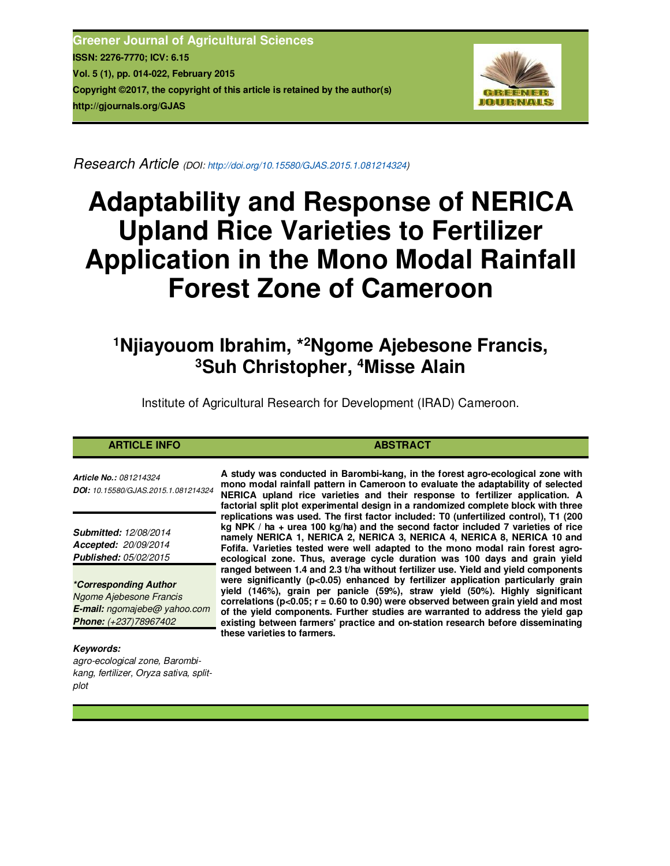**Greener Journal of Agricultural Sciences ISSN: 2276-7770; ICV: 6.15 Vol. 5 (1), pp. 014-022, February 2015 Copyright ©2017, the copyright of this article is retained by the author(s) http://gjournals.org/GJAS**



*Research Article (DOI: http://doi.org/10.15580/GJAS.2015.1.081214324)* 

# **Adaptability and Response of NERICA Upland Rice Varieties to Fertilizer Application in the Mono Modal Rainfall Forest Zone of Cameroon**

# **<sup>1</sup>Njiayouom Ibrahim, \*<sup>2</sup>Ngome Ajebesone Francis, <sup>3</sup>Suh Christopher, <sup>4</sup>Misse Alain**

Institute of Agricultural Research for Development (IRAD) Cameroon.

| <b>ARTICLE INFO</b>                                                         | <b>ABSTRACT</b>                                                                                                                                                                                                                                                                                                                                                                                                                  |
|-----------------------------------------------------------------------------|----------------------------------------------------------------------------------------------------------------------------------------------------------------------------------------------------------------------------------------------------------------------------------------------------------------------------------------------------------------------------------------------------------------------------------|
| <b>Article No.:</b> 081214324<br><b>DOI:</b> 10.15580/GJAS.2015.1.081214324 | A study was conducted in Barombi-kang, in the forest agro-ecological zone with<br>mono modal rainfall pattern in Cameroon to evaluate the adaptability of selected<br>NERICA upland rice varieties and their response to fertilizer application. A<br>factorial split plot experimental design in a randomized complete block with three<br>replications was used. The first factor included: TO (unfertilized control). T1 (200 |
|                                                                             |                                                                                                                                                                                                                                                                                                                                                                                                                                  |

**these varieties to farmers.** 

*Submitted: 12/08/2014 Accepted: 20/09/2014 Published: 05/02/2015*

*\*Corresponding Author Ngome Ajebesone Francis E-mail: ngomajebe@ yahoo.com Phone: (+237)78967402*

*Keywords:* 

*agro-ecological zone, Barombikang, fertilizer, Oryza sativa, splitplot*

**rications included: T0 (unfertilizable) kg NPK / ha + urea 100 kg/ha) and the second factor included 7 varieties of rice namely NERICA 1, NERICA 2, NERICA 3, NERICA 4, NERICA 8, NERICA 10 and Fofifa. Varieties tested were well adapted to the mono modal rain forest agroecological zone. Thus, average cycle duration was 100 days and grain yield ranged between 1.4 and 2.3 t/ha without fertilizer use. Yield and yield components were significantly (p<0.05) enhanced by fertilizer application particularly grain yield (146%), grain per panicle (59%), straw yield (50%). Highly significant** 

**correlations (p<0.05; r = 0.60 to 0.90) were observed between grain yield and most of the yield components. Further studies are warranted to address the yield gap existing between farmers' practice and on-station research before disseminating**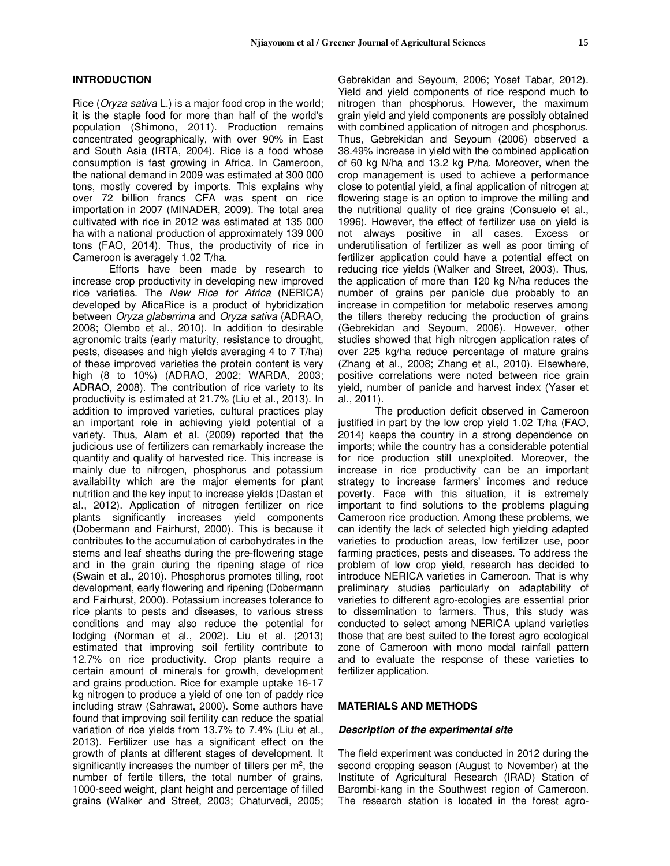# **INTRODUCTION**

Rice (*Oryza sativa* L.) is a major food crop in the world; it is the staple food for more than half of the world's population (Shimono, 2011). Production remains concentrated geographically, with over 90% in East and South Asia (IRTA, 2004). Rice is a food whose consumption is fast growing in Africa. In Cameroon, the national demand in 2009 was estimated at 300 000 tons, mostly covered by imports. This explains why over 72 billion francs CFA was spent on rice importation in 2007 (MINADER, 2009). The total area cultivated with rice in 2012 was estimated at 135 000 ha with a national production of approximately 139 000 tons (FAO, 2014). Thus, the productivity of rice in Cameroon is averagely 1.02 T/ha.

Efforts have been made by research to increase crop productivity in developing new improved rice varieties. The *New Rice for Africa* (NERICA) developed by AficaRice is a product of hybridization between *Oryza glaberrima* and *Oryza sativa* (ADRAO, 2008; Olembo et al., 2010). In addition to desirable agronomic traits (early maturity, resistance to drought, pests, diseases and high yields averaging 4 to 7 T/ha) of these improved varieties the protein content is very high (8 to 10%) (ADRAO, 2002; WARDA, 2003; ADRAO, 2008). The contribution of rice variety to its productivity is estimated at 21.7% (Liu et al., 2013). In addition to improved varieties, cultural practices play an important role in achieving yield potential of a variety. Thus, Alam et al. (2009) reported that the judicious use of fertilizers can remarkably increase the quantity and quality of harvested rice. This increase is mainly due to nitrogen, phosphorus and potassium availability which are the major elements for plant nutrition and the key input to increase yields (Dastan et al., 2012). Application of nitrogen fertilizer on rice plants significantly increases yield components (Dobermann and Fairhurst, 2000). This is because it contributes to the accumulation of carbohydrates in the stems and leaf sheaths during the pre-flowering stage and in the grain during the ripening stage of rice (Swain et al., 2010). Phosphorus promotes tilling, root development, early flowering and ripening (Dobermann and Fairhurst, 2000). Potassium increases tolerance to rice plants to pests and diseases, to various stress conditions and may also reduce the potential for lodging (Norman et al., 2002). Liu et al. (2013) estimated that improving soil fertility contribute to 12.7% on rice productivity. Crop plants require a certain amount of minerals for growth, development and grains production. Rice for example uptake 16-17 kg nitrogen to produce a yield of one ton of paddy rice including straw (Sahrawat, 2000). Some authors have found that improving soil fertility can reduce the spatial variation of rice yields from 13.7% to 7.4% (Liu et al., 2013). Fertilizer use has a significant effect on the growth of plants at different stages of development. It significantly increases the number of tillers per  $m^2$ , the number of fertile tillers, the total number of grains, 1000-seed weight, plant height and percentage of filled grains (Walker and Street, 2003; Chaturvedi, 2005;

Gebrekidan and Seyoum, 2006; Yosef Tabar, 2012). Yield and yield components of rice respond much to nitrogen than phosphorus. However, the maximum grain yield and yield components are possibly obtained with combined application of nitrogen and phosphorus. Thus, Gebrekidan and Seyoum (2006) observed a 38.49% increase in yield with the combined application of 60 kg N/ha and 13.2 kg P/ha. Moreover, when the crop management is used to achieve a performance close to potential yield, a final application of nitrogen at flowering stage is an option to improve the milling and the nutritional quality of rice grains (Consuelo et al., 1996). However, the effect of fertilizer use on yield is not always positive in all cases. Excess or underutilisation of fertilizer as well as poor timing of fertilizer application could have a potential effect on reducing rice yields (Walker and Street, 2003). Thus, the application of more than 120 kg N/ha reduces the number of grains per panicle due probably to an increase in competition for metabolic reserves among the tillers thereby reducing the production of grains (Gebrekidan and Seyoum, 2006). However, other studies showed that high nitrogen application rates of over 225 kg/ha reduce percentage of mature grains (Zhang et al*.*, 2008; Zhang et al*.*, 2010). Elsewhere, positive correlations were noted between rice grain yield, number of panicle and harvest index (Yaser et al., 2011).

The production deficit observed in Cameroon justified in part by the low crop yield 1.02 T/ha (FAO, 2014) keeps the country in a strong dependence on imports; while the country has a considerable potential for rice production still unexploited. Moreover, the increase in rice productivity can be an important strategy to increase farmers' incomes and reduce poverty. Face with this situation, it is extremely important to find solutions to the problems plaguing Cameroon rice production. Among these problems, we can identify the lack of selected high yielding adapted varieties to production areas, low fertilizer use, poor farming practices, pests and diseases. To address the problem of low crop yield, research has decided to introduce NERICA varieties in Cameroon. That is why preliminary studies particularly on adaptability of varieties to different agro-ecologies are essential prior to dissemination to farmers. Thus, this study was conducted to select among NERICA upland varieties those that are best suited to the forest agro ecological zone of Cameroon with mono modal rainfall pattern and to evaluate the response of these varieties to fertilizer application.

#### **MATERIALS AND METHODS**

#### *Description of the experimental site*

The field experiment was conducted in 2012 during the second cropping season (August to November) at the Institute of Agricultural Research (IRAD) Station of Barombi-kang in the Southwest region of Cameroon. The research station is located in the forest agro-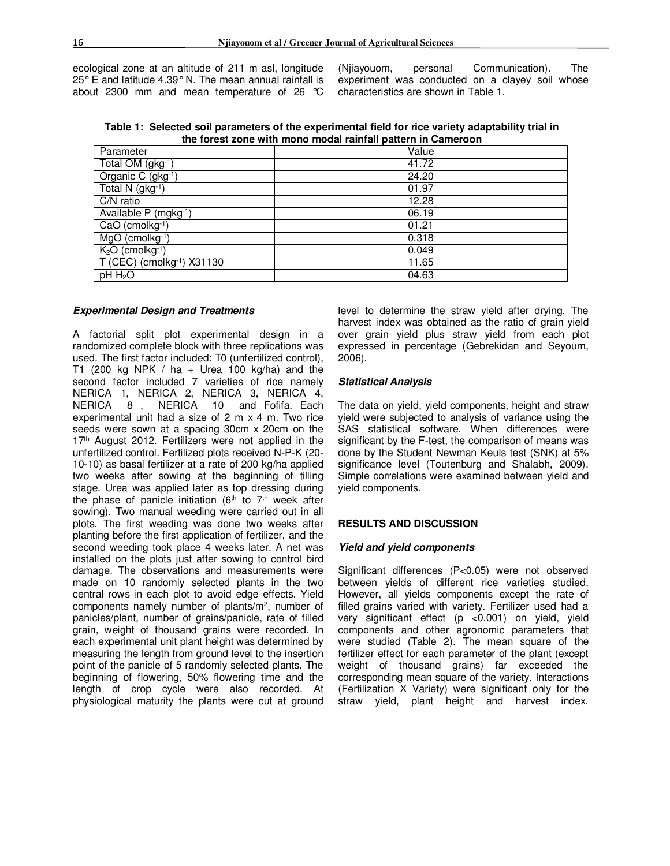ecological zone at an altitude of 211 m asl, longitude 25° E and latitude 4.39° N. The mean annual rainfall is about 2300 mm and mean temperature of 26 °C

(Njiayouom, personal Communication). The experiment was conducted on a clayey soil whose characteristics are shown in Table 1.

**Table 1: Selected soil parameters of the experimental field for rice variety adaptability trial in the forest zone with mono modal rainfall pattern in Cameroon** 

| Parameter                              | Value |
|----------------------------------------|-------|
| Total OM (gkg-1)                       | 41.72 |
| Organic C (gkg-1)                      | 24.20 |
| Total N (gkg-1)                        | 01.97 |
| C/N ratio                              | 12.28 |
| Available P (mgkg-1)                   | 06.19 |
| CaO (cmolkg <sup>-1</sup> )            | 01.21 |
| MgO (cmolkg-1)                         | 0.318 |
| $K2O$ (cmolkg <sup>-1</sup> )          | 0.049 |
| T (CEC) (cmolkg <sup>-1</sup> ) X31130 | 11.65 |
| $pH H_2O$                              | 04.63 |
|                                        |       |

#### *Experimental Design and Treatments*

A factorial split plot experimental design in a randomized complete block with three replications was used. The first factor included: T0 (unfertilized control), T1 (200 kg NPK / ha + Urea 100 kg/ha) and the second factor included 7 varieties of rice namely NERICA 1, NERICA 2, NERICA 3, NERICA 4, NERICA 8 , NERICA 10 and Fofifa. Each experimental unit had a size of 2 m x 4 m. Two rice seeds were sown at a spacing 30cm x 20cm on the 17<sup>th</sup> August 2012. Fertilizers were not applied in the unfertilized control. Fertilized plots received N-P-K (20- 10-10) as basal fertilizer at a rate of 200 kg/ha applied two weeks after sowing at the beginning of tilling stage. Urea was applied later as top dressing during the phase of panicle initiation ( $6<sup>th</sup>$  to  $7<sup>th</sup>$  week after sowing). Two manual weeding were carried out in all plots. The first weeding was done two weeks after planting before the first application of fertilizer, and the second weeding took place 4 weeks later. A net was installed on the plots just after sowing to control bird damage. The observations and measurements were made on 10 randomly selected plants in the two central rows in each plot to avoid edge effects. Yield components namely number of plants/m<sup>2</sup> , number of panicles/plant, number of grains/panicle, rate of filled grain, weight of thousand grains were recorded. In each experimental unit plant height was determined by measuring the length from ground level to the insertion point of the panicle of 5 randomly selected plants. The beginning of flowering, 50% flowering time and the length of crop cycle were also recorded. At physiological maturity the plants were cut at ground

level to determine the straw yield after drying. The harvest index was obtained as the ratio of grain yield over grain yield plus straw yield from each plot expressed in percentage (Gebrekidan and Seyoum, 2006).

#### *Statistical Analysis*

The data on yield, yield components, height and straw yield were subjected to analysis of variance using the SAS statistical software. When differences were significant by the F-test, the comparison of means was done by the Student Newman Keuls test (SNK) at 5% significance level (Toutenburg and Shalabh, 2009). Simple correlations were examined between yield and yield components.

# **RESULTS AND DISCUSSION**

#### *Yield and yield components*

Significant differences (P<0.05) were not observed between yields of different rice varieties studied. However, all yields components except the rate of filled grains varied with variety. Fertilizer used had a very significant effect (p <0.001) on yield, yield components and other agronomic parameters that were studied (Table 2). The mean square of the fertilizer effect for each parameter of the plant (except weight of thousand grains) far exceeded the corresponding mean square of the variety. Interactions (Fertilization X Variety) were significant only for the straw yield, plant height and harvest index.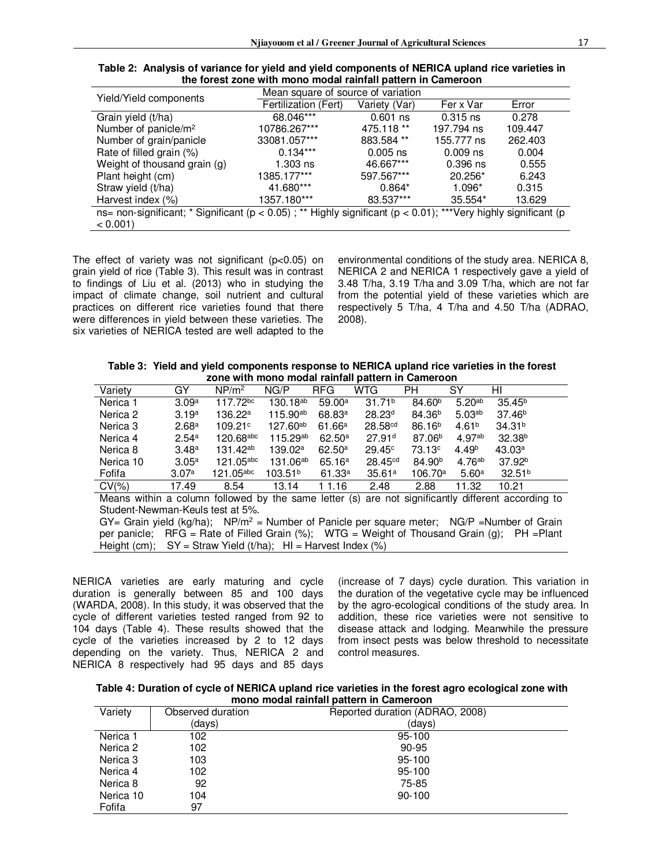| Table 2: Analysis of variance for yield and yield components of NERICA upland rice varieties in |
|-------------------------------------------------------------------------------------------------|
| the forest zone with mono modal rainfall pattern in Cameroon                                    |

| Yield/Yield components                                                                                                    | Mean square of source of variation |               |            |         |  |  |  |  |  |
|---------------------------------------------------------------------------------------------------------------------------|------------------------------------|---------------|------------|---------|--|--|--|--|--|
|                                                                                                                           | Fertilization (Fert)               | Variety (Var) | Fer x Var  | Error   |  |  |  |  |  |
| Grain yield (t/ha)                                                                                                        | 68.046***                          | $0.601$ ns    | $0.315$ ns | 0.278   |  |  |  |  |  |
| Number of panicle/m <sup>2</sup>                                                                                          | 10786.267***                       | 475.118 **    | 197.794 ns | 109.447 |  |  |  |  |  |
| Number of grain/panicle                                                                                                   | 33081.057***                       | 883.584 **    | 155.777 ns | 262,403 |  |  |  |  |  |
| Rate of filled grain (%)                                                                                                  | $0.134***$                         | $0.005$ ns    | $0.009$ ns | 0.004   |  |  |  |  |  |
| Weight of thousand grain (g)                                                                                              | $1.303$ ns                         | 46.667***     | $0.396$ ns | 0.555   |  |  |  |  |  |
| Plant height (cm)                                                                                                         | 1385.177***                        | 597.567***    | 20.256*    | 6.243   |  |  |  |  |  |
| Straw yield (t/ha)                                                                                                        | 41.680***                          | $0.864*$      | 1.096*     | 0.315   |  |  |  |  |  |
| Harvest index (%)                                                                                                         | 1357.180***                        | 83.537***     | 35.554*    | 13.629  |  |  |  |  |  |
| ns= non-significant; * Significant ( $p < 0.05$ ); ** Highly significant ( $p < 0.01$ ); ***Very highly significant ( $p$ |                                    |               |            |         |  |  |  |  |  |
| $< 0.001$ )                                                                                                               |                                    |               |            |         |  |  |  |  |  |

The effect of variety was not significant  $(p<0.05)$  on grain yield of rice (Table 3). This result was in contrast to findings of Liu et al. (2013) who in studying the impact of climate change, soil nutrient and cultural practices on different rice varieties found that there were differences in yield between these varieties. The six varieties of NERICA tested are well adapted to the environmental conditions of the study area. NERICA 8, NERICA 2 and NERICA 1 respectively gave a yield of 3.48 T/ha, 3.19 T/ha and 3.09 T/ha, which are not far from the potential yield of these varieties which are respectively 5 T/ha, 4 T/ha and 4.50 T/ha (ADRAO, 2008).

**Table 3: Yield and yield components response to NERICA upland rice varieties in the forest zone with mono modal rainfall pattern in Cameroon** 

| Variety   | GY                | NP/m <sup>2</sup>       | NG/P                 | <b>RFG</b>         | WTG                 | PН                 | SY                 | HI                 |
|-----------|-------------------|-------------------------|----------------------|--------------------|---------------------|--------------------|--------------------|--------------------|
| Nerica 1  | 3.09a             | 117.72 <sup>bc</sup>    | 130.18 <sup>ab</sup> | 59.00a             | 31.71 <sup>b</sup>  | 84.60 <sup>b</sup> | 5.20 <sup>ab</sup> | 35.45 <sup>b</sup> |
| Nerica 2  | 3.19a             | 136.22a                 | $115.90^{ab}$        | 68.83 <sup>a</sup> | 28.23 <sup>d</sup>  | 84.36 <sup>b</sup> | 5.03 <sup>ab</sup> | 37.46 <sup>b</sup> |
| Nerica 3  | 2.68a             | 109.21c                 | 127.60ab             | 61.66a             | 28.58 <sup>cd</sup> | 86.16 <sup>b</sup> | 4.61 <sup>b</sup>  | 34.31 <sup>b</sup> |
| Nerica 4  | 2.54 <sup>a</sup> | $120.68$ <sup>abc</sup> | $115.29^{ab}$        | $62.50^{\text{a}}$ | 27.91 <sup>d</sup>  | $87.06^{b}$        | 4.97 <sup>ab</sup> | $32.38^{b}$        |
| Nerica 8  | 3.48 <sup>a</sup> | $131.42^{ab}$           | 139.02 <sup>a</sup>  | 62.50 <sup>a</sup> | $29.45^\circ$       | $73.13^{\circ}$    | 4.49 <sup>b</sup>  | 43.03 <sup>a</sup> |
| Nerica 10 | 3.05a             | $121.05$ abc            | 131.06 <sup>ab</sup> | 65.16a             | 28.45 <sup>cd</sup> | 84.90 <sup>b</sup> | 4.76ab             | 37.92 <sup>b</sup> |
| Fofifa    | 3.07a             | $121.05$ <sup>abc</sup> | 103.51 <sup>b</sup>  | 61.33a             | 35.61a              | 106.70a            | 5.60 <sup>a</sup>  | 32.51 <sup>b</sup> |
| $CV(\% )$ | 17.49             | 8.54                    | 13.14                | 1 1.16             | 2.48                | 2.88               | 11.32              | 10.21              |

Means within a column followed by the same letter (s) are not significantly different according to Student-Newman-Keuls test at 5%.

 $GY =$  Grain yield (kg/ha); NP/m<sup>2</sup> = Number of Panicle per square meter; NG/P = Number of Grain per panicle;  $RFG = Rate$  of Filled Grain (%); WTG = Weight of Thousand Grain (g); PH = Plant Height (cm);  $SY =$  Straw Yield (t/ha);  $HI =$  Harvest Index (%)

NERICA varieties are early maturing and cycle duration is generally between 85 and 100 days (WARDA, 2008). In this study, it was observed that the cycle of different varieties tested ranged from 92 to 104 days (Table 4). These results showed that the cycle of the varieties increased by 2 to 12 days depending on the variety. Thus, NERICA 2 and NERICA 8 respectively had 95 days and 85 days

(increase of 7 days) cycle duration. This variation in the duration of the vegetative cycle may be influenced by the agro-ecological conditions of the study area. In addition, these rice varieties were not sensitive to disease attack and lodging. Meanwhile the pressure from insect pests was below threshold to necessitate control measures.

| Table 4: Duration of cycle of NERICA upland rice varieties in the forest agro ecological zone with |  |
|----------------------------------------------------------------------------------------------------|--|
| mono modal rainfall pattern in Cameroon                                                            |  |

| Variety   | Observed duration | Reported duration (ADRAO, 2008) |
|-----------|-------------------|---------------------------------|
|           | (days)            | (davs)                          |
| Nerica 1  | 102               | 95-100                          |
| Nerica 2  | 102               | $90 - 95$                       |
| Nerica 3  | 103               | 95-100                          |
| Nerica 4  | 102               | 95-100                          |
| Nerica 8  | 92                | 75-85                           |
| Nerica 10 | 104               | $90 - 100$                      |
| Fofifa    | 97                |                                 |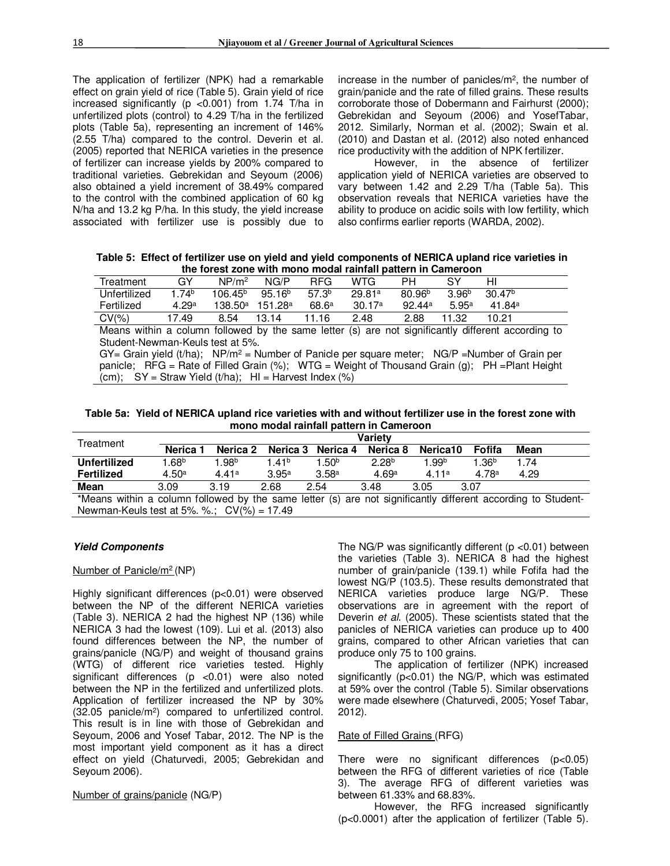The application of fertilizer (NPK) had a remarkable effect on grain yield of rice (Table 5). Grain yield of rice increased significantly ( $p$  <0.001) from 1.74 T/ha in unfertilized plots (control) to 4.29 T/ha in the fertilized plots (Table 5a), representing an increment of 146% (2.55 T/ha) compared to the control. Deverin et al. (2005) reported that NERICA varieties in the presence of fertilizer can increase yields by 200% compared to traditional varieties. Gebrekidan and Seyoum (2006) also obtained a yield increment of 38.49% compared to the control with the combined application of 60 kg N/ha and 13.2 kg P/ha. In this study, the yield increase associated with fertilizer use is possibly due to

increase in the number of panicles/m<sup>2</sup>, the number of grain/panicle and the rate of filled grains. These results corroborate those of Dobermann and Fairhurst (2000); Gebrekidan and Seyoum (2006) and YosefTabar, 2012. Similarly, Norman et al. (2002); Swain et al. (2010) and Dastan et al. (2012) also noted enhanced rice productivity with the addition of NPK fertilizer.

However, in the absence of fertilizer application yield of NERICA varieties are observed to vary between 1.42 and 2.29 T/ha (Table 5a). This observation reveals that NERICA varieties have the ability to produce on acidic soils with low fertility, which also confirms earlier reports (WARDA, 2002).

**Table 5: Effect of fertilizer use on yield and yield components of NERICA upland rice varieties in the forest zone with mono modal rainfall pattern in Cameroon** 

| Treatment    | GY                | NP/m <sup>2</sup> | NG/P                           | <b>RFG</b> | <b>WTG</b> | PН                 |                   | HI                 |
|--------------|-------------------|-------------------|--------------------------------|------------|------------|--------------------|-------------------|--------------------|
| Unfertilized | 1.74 <sup>b</sup> | $106.45^{\rm b}$  | $95.16^b$                      | $57.3^b$   | 29.81ª     | 80.96 <sup>b</sup> | 3.96 <sup>b</sup> | 30.47 <sup>b</sup> |
| Fertilized   | 4.29a             |                   | $138.50^a$ 151.28 <sup>a</sup> | 68.6a      | 30.17ª     | $92.44^{\circ}$    | 5.95a             | 41.84ª             |
| $CV(\% )$    | 17.49             | 8.54              | 13.14                          | 11.16      | 2.48       | 2.88               | 11.32             | 10.21              |

Means within a column followed by the same letter (s) are not significantly different according to Student-Newman-Keuls test at 5%.

GY= Grain yield (t/ha); NP/m<sup>2</sup> = Number of Panicle per square meter; NG/P =Number of Grain per panicle; RFG = Rate of Filled Grain (%); WTG = Weight of Thousand Grain (g); PH = Plant Height (cm);  $SY =$  Straw Yield (t/ha);  $H =$  Harvest Index (%)

**Table 5a: Yield of NERICA upland rice varieties with and without fertilizer use in the forest zone with mono modal rainfall pattern in Cameroon** 

| Treatment                                     |                 | <b>Variety</b> |                   |                   |                   |          |                   |                                                                                                              |  |  |  |  |
|-----------------------------------------------|-----------------|----------------|-------------------|-------------------|-------------------|----------|-------------------|--------------------------------------------------------------------------------------------------------------|--|--|--|--|
|                                               | Nerica <b>ˈ</b> | Nerica 2       | Nerica 3          | Nerica 4          | Nerica 8          | Nerica10 | Fofifa            | Mean                                                                                                         |  |  |  |  |
| <b>Unfertilized</b>                           | $1.68^{\rm b}$  | $1.98^{\rm b}$ | 1 41 <sup>b</sup> | 1.50 <sup>b</sup> | 2.28 <sup>b</sup> | 1.99b    | 1.36 <sup>b</sup> | 1.74                                                                                                         |  |  |  |  |
| Fertilized                                    | 4.50a           | 4.41a          | 3.95a             | 3.58a             | 4.69a             | 4.11a    | 4.78 <sup>a</sup> | 4.29                                                                                                         |  |  |  |  |
| Mean                                          | 3.09            | 3.19           | 2.68              | 2.54              | 3.48              | 3.05     | 3.07              |                                                                                                              |  |  |  |  |
|                                               |                 |                |                   |                   |                   |          |                   | *Means within a column followed by the same letter (s) are not significantly different according to Student- |  |  |  |  |
| Newman-Keuls test at 5%. %.; $CV(\%) = 17.49$ |                 |                |                   |                   |                   |          |                   |                                                                                                              |  |  |  |  |

# *Yield Components*

#### Number of Panicle/m<sup>2</sup> (NP)

Highly significant differences (p<0.01) were observed between the NP of the different NERICA varieties (Table 3). NERICA 2 had the highest NP (136) while NERICA 3 had the lowest (109). Lui et al. (2013) also found differences between the NP, the number of grains/panicle (NG/P) and weight of thousand grains (WTG) of different rice varieties tested. Highly significant differences (p <0.01) were also noted between the NP in the fertilized and unfertilized plots. Application of fertilizer increased the NP by 30% (32.05 panicle/m<sup>2</sup> ) compared to unfertilized control. This result is in line with those of Gebrekidan and Seyoum, 2006 and Yosef Tabar, 2012. The NP is the most important yield component as it has a direct effect on yield (Chaturvedi, 2005; Gebrekidan and Seyoum 2006).

Number of grains/panicle (NG/P)

The NG/P was significantly different (p <0.01) between the varieties (Table 3). NERICA 8 had the highest number of grain/panicle (139.1) while Fofifa had the lowest NG/P (103.5). These results demonstrated that NERICA varieties produce large NG/P. These observations are in agreement with the report of Deverin *et al*. (2005). These scientists stated that the panicles of NERICA varieties can produce up to 400 grains, compared to other African varieties that can produce only 75 to 100 grains.

The application of fertilizer (NPK) increased significantly (p<0.01) the NG/P, which was estimated at 59% over the control (Table 5). Similar observations were made elsewhere (Chaturvedi, 2005; Yosef Tabar, 2012).

# Rate of Filled Grains (RFG)

There were no significant differences (p<0.05) between the RFG of different varieties of rice (Table 3). The average RFG of different varieties was between 61.33% and 68.83%.

However, the RFG increased significantly (p<0.0001) after the application of fertilizer (Table 5).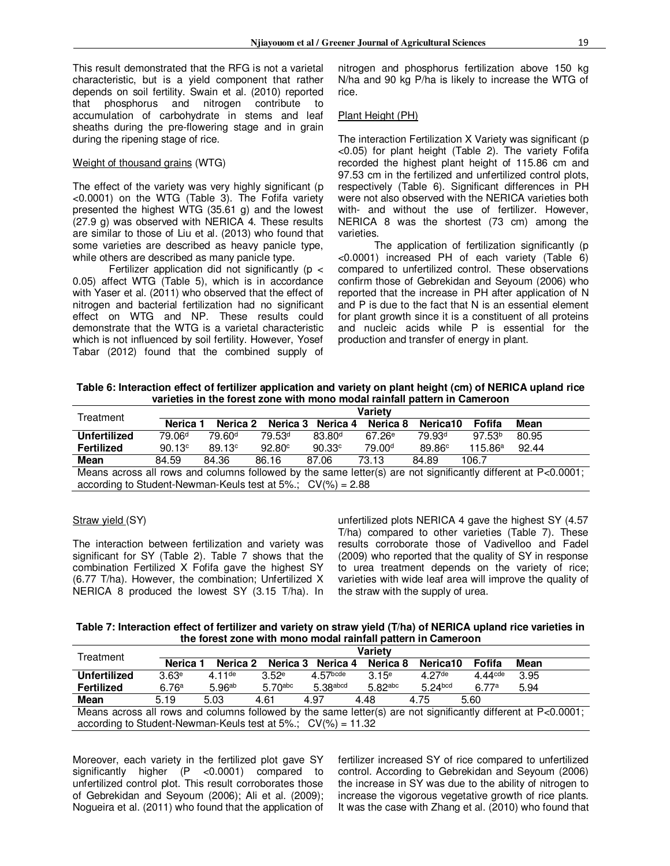This result demonstrated that the RFG is not a varietal characteristic, but is a yield component that rather depends on soil fertility. Swain et al. (2010) reported that phosphorus and nitrogen contribute to accumulation of carbohydrate in stems and leaf sheaths during the pre-flowering stage and in grain during the ripening stage of rice.

# Weight of thousand grains (WTG)

The effect of the variety was very highly significant (p <0.0001) on the WTG (Table 3). The Fofifa variety presented the highest WTG (35.61 g) and the lowest (27.9 g) was observed with NERICA 4. These results are similar to those of Liu et al. (2013) who found that some varieties are described as heavy panicle type, while others are described as many panicle type.

Fertilizer application did not significantly ( $p <$ 0.05) affect WTG (Table 5), which is in accordance with Yaser et al. (2011) who observed that the effect of nitrogen and bacterial fertilization had no significant effect on WTG and NP. These results could demonstrate that the WTG is a varietal characteristic which is not influenced by soil fertility. However, Yosef Tabar (2012) found that the combined supply of nitrogen and phosphorus fertilization above 150 kg N/ha and 90 kg P/ha is likely to increase the WTG of rice.

#### Plant Height (PH)

The interaction Fertilization X Variety was significant (p <0.05) for plant height (Table 2). The variety Fofifa recorded the highest plant height of 115.86 cm and 97.53 cm in the fertilized and unfertilized control plots, respectively (Table 6). Significant differences in PH were not also observed with the NERICA varieties both with- and without the use of fertilizer. However, NERICA 8 was the shortest (73 cm) among the varieties.

The application of fertilization significantly (p <0.0001) increased PH of each variety (Table 6) compared to unfertilized control. These observations confirm those of Gebrekidan and Seyoum (2006) who reported that the increase in PH after application of N and P is due to the fact that N is an essential element for plant growth since it is a constituent of all proteins and nucleic acids while P is essential for the production and transfer of energy in plant.

**Table 6: Interaction effect of fertilizer application and variety on plant height (cm) of NERICA upland rice varieties in the forest zone with mono modal rainfall pattern in Cameroon** 

| Treatment                                                          |                     | Varietv            |                    |                    |                    |                    |                    |                                                                                                               |  |  |
|--------------------------------------------------------------------|---------------------|--------------------|--------------------|--------------------|--------------------|--------------------|--------------------|---------------------------------------------------------------------------------------------------------------|--|--|
|                                                                    | Nerica <sub>1</sub> | Nerica 2           | Nerica 3           | Nerica 4           | Nerica 8           | Nerica10           | Fofifa             | Mean                                                                                                          |  |  |
| Unfertilized                                                       | 79.06 <sup>d</sup>  | 79.60 <sup>d</sup> | 79.53 <sup>d</sup> | 83.80 <sup>d</sup> | 67.26 <sup>e</sup> | 79.93 <sup>d</sup> | 97.53 <sup>b</sup> | 80.95                                                                                                         |  |  |
| <b>Fertilized</b>                                                  | 90.13c              | 89.13 <sup>c</sup> | 92.80°             | 90.33c             | 79.00 <sup>d</sup> | 89.86 <sup>c</sup> | 115.86a            | 92.44                                                                                                         |  |  |
| Mean                                                               | 84.59               | 84.36              | 86.16              | 87.06              | 73.13              | 84.89              | 106.7              |                                                                                                               |  |  |
|                                                                    |                     |                    |                    |                    |                    |                    |                    | Means across all rows and columns followed by the same letter(s) are not significantly different at P<0.0001; |  |  |
| according to Student-Newman-Keuls test at $5\%$ : $CV(\% ) = 2.88$ |                     |                    |                    |                    |                    |                    |                    |                                                                                                               |  |  |

Straw yield (SY)

The interaction between fertilization and variety was significant for SY (Table 2). Table 7 shows that the combination Fertilized X Fofifa gave the highest SY (6.77 T/ha). However, the combination; Unfertilized X NERICA 8 produced the lowest SY (3.15 T/ha). In unfertilized plots NERICA 4 gave the highest SY (4.57 T/ha) compared to other varieties (Table 7). These results corroborate those of Vadivelloo and Fadel (2009) who reported that the quality of SY in response to urea treatment depends on the variety of rice; varieties with wide leaf area will improve the quality of the straw with the supply of urea.

**Table 7: Interaction effect of fertilizer and variety on straw yield (T/ha) of NERICA upland rice varieties in the forest zone with mono modal rainfall pattern in Cameroon** 

| Treatment                                                                                                     |          | Varietv              |            |             |                |                     |                       |      |  |  |  |
|---------------------------------------------------------------------------------------------------------------|----------|----------------------|------------|-------------|----------------|---------------------|-----------------------|------|--|--|--|
|                                                                                                               | Nerica 1 | Nerica 2             | Nerica 3   | Nerica 4    | Nerica 8       | Nerica10            | Fofifa                | Mean |  |  |  |
| <b>Unfertilized</b>                                                                                           | 3.63e    | $4.11$ <sup>de</sup> | 3.52e      | $4.57$ bcde | $3.15^{\circ}$ | $4.27$ de           | $4.44$ <sup>cde</sup> | 3.95 |  |  |  |
| <b>Fertilized</b>                                                                                             | 6.76a    | 5.96 <sup>ab</sup>   | $5.70$ abc | $5.38$ abcd | $5.82$ abc     | 5.24 <sub>bcd</sub> | 6.77a                 | 5.94 |  |  |  |
| Mean                                                                                                          | 5.19     | 5.03                 | 4.61       | 4.97        | 4.48           | 4.75                | 5.60                  |      |  |  |  |
| Means across all rows and columns followed by the same letter(s) are not significantly different at P<0.0001; |          |                      |            |             |                |                     |                       |      |  |  |  |
| according to Student-Newman-Keuls test at $5\%$ ; $CV(\%) = 11.32$                                            |          |                      |            |             |                |                     |                       |      |  |  |  |

Moreover, each variety in the fertilized plot gave SY significantly higher (P <0.0001) compared to unfertilized control plot. This result corroborates those of Gebrekidan and Seyoum (2006); Ali et al. (2009); Nogueira et al. (2011) who found that the application of fertilizer increased SY of rice compared to unfertilized control. According to Gebrekidan and Seyoum (2006) the increase in SY was due to the ability of nitrogen to increase the vigorous vegetative growth of rice plants. It was the case with Zhang et al. (2010) who found that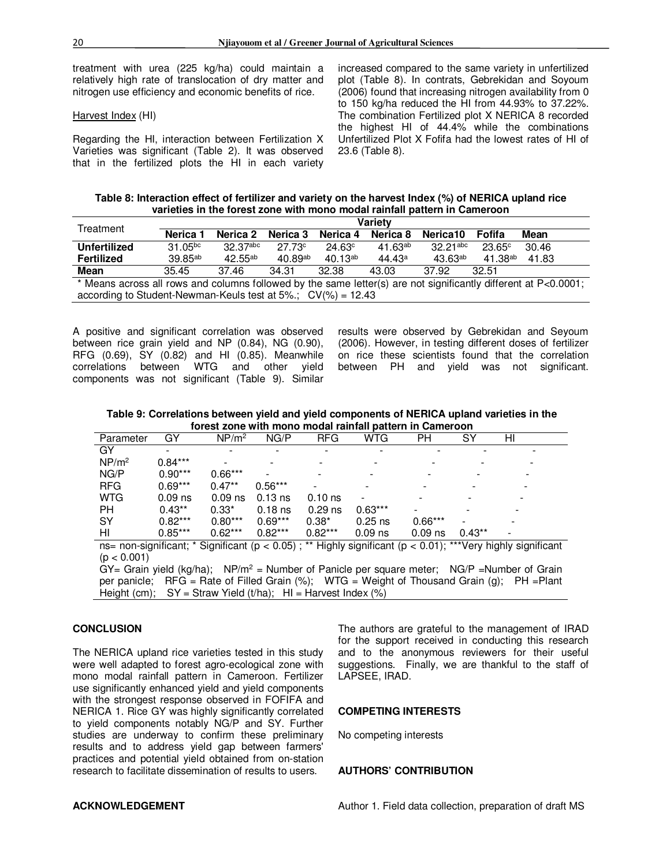treatment with urea (225 kg/ha) could maintain a relatively high rate of translocation of dry matter and nitrogen use efficiency and economic benefits of rice.

#### Harvest Index (HI)

Regarding the HI, interaction between Fertilization X Varieties was significant (Table 2). It was observed that in the fertilized plots the HI in each variety increased compared to the same variety in unfertilized plot (Table 8). In contrats, Gebrekidan and Soyoum (2006) found that increasing nitrogen availability from 0 to 150 kg/ha reduced the HI from 44.93% to 37.22%. The combination Fertilized plot X NERICA 8 recorded the highest HI of 44.4% while the combinations Unfertilized Plot X Fofifa had the lowest rates of HI of 23.6 (Table 8).

**Table 8: Interaction effect of fertilizer and variety on the harvest Index (%) of NERICA upland rice varieties in the forest zone with mono modal rainfall pattern in Cameroon** 

| Treatment                                                                                                       | Varietv                                                            |              |                    |              |              |              |                    |       |  |  |
|-----------------------------------------------------------------------------------------------------------------|--------------------------------------------------------------------|--------------|--------------------|--------------|--------------|--------------|--------------------|-------|--|--|
|                                                                                                                 | Nerica <sub>1</sub>                                                | Nerica 2     | Nerica 3           | Nerica 4     | Nerica 8     | Nerica10     | Fofifa             | Mean  |  |  |
| Unfertilized                                                                                                    | $31.05^{bc}$                                                       | 32.37abc     | 27.73 <sup>c</sup> | 24.63c       | $41.63^{ab}$ | $32.21$ abc  | 23.65 <sup>c</sup> | 30.46 |  |  |
| Fertilized                                                                                                      | $39.85^{ab}$                                                       | $42.55^{ab}$ | $40.89^{ab}$       | $40.13^{ab}$ | 44.43a       | $43.63^{ab}$ | $41.38^{ab}$       | 41.83 |  |  |
| <b>Mean</b>                                                                                                     | 35.45                                                              | 37.46        | 34.31              | 32.38        | 43.03        | 37.92        | 32.51              |       |  |  |
| * Means across all rows and columns followed by the same letter(s) are not significantly different at P<0.0001; |                                                                    |              |                    |              |              |              |                    |       |  |  |
|                                                                                                                 | according to Student-Newman-Keuls test at $5\%$ : $CV(\%) = 12.43$ |              |                    |              |              |              |                    |       |  |  |

A positive and significant correlation was observed between rice grain yield and NP (0.84), NG (0.90), RFG (0.69), SY (0.82) and HI (0.85). Meanwhile correlations between WTG and other yield components was not significant (Table 9). Similar results were observed by Gebrekidan and Seyoum (2006). However, in testing different doses of fertilizer on rice these scientists found that the correlation between PH and yield was not significant.

**Table 9: Correlations between yield and yield components of NERICA upland varieties in the forest zone with mono modal rainfall pattern in Cameroon** 

| Parameter                                                                                              | GY        | NP/m <sup>2</sup> | NG/P      | <b>RFG</b> | WTG       | PН        | SY       | HI |  |
|--------------------------------------------------------------------------------------------------------|-----------|-------------------|-----------|------------|-----------|-----------|----------|----|--|
| GY                                                                                                     |           |                   |           |            |           |           |          |    |  |
| NP/m <sup>2</sup>                                                                                      | $0.84***$ |                   |           |            |           |           |          |    |  |
| NG/P                                                                                                   | $0.90***$ | $0.66***$         |           |            |           |           |          |    |  |
| <b>RFG</b>                                                                                             | $0.69***$ | $0.47**$          | $0.56***$ |            |           |           |          |    |  |
| WTG                                                                                                    | $0.09$ ns | $0.09$ ns         | $0.13$ ns | $0.10$ ns  |           |           |          |    |  |
| <b>PH</b>                                                                                              | $0.43**$  | $0.33*$           | $0.18$ ns | $0.29$ ns  | $0.63***$ |           |          |    |  |
| <b>SY</b>                                                                                              | $0.82***$ | $0.80***$         | $0.69***$ | $0.38*$    | $0.25$ ns | $0.66***$ |          |    |  |
| HI                                                                                                     | $0.85***$ | $0.62***$         | $0.82***$ | $0.82***$  | $0.09$ ns | $0.09$ ns | $0.43**$ |    |  |
| and provident to Clasificant (n , O OE), ** Ulably significant (n , O O1), ***\Less bigbly significant |           |                   |           |            |           |           |          |    |  |

ns= non-significant; \* Significant (p < 0.05) ; \*\* Highly significant (p < 0.01); \*\*\*Very highly significant  $(p < 0.001)$ 

 $GY =$  Grain yield (kg/ha); NP/m<sup>2</sup> = Number of Panicle per square meter; NG/P = Number of Grain per panicle; RFG = Rate of Filled Grain  $\frac{9}{6}$ ; WTG = Weight of Thousand Grain (g); PH = Plant Height (cm);  $SY =$  Straw Yield (t/ha);  $HI =$  Harvest Index (%)

# **CONCLUSION**

The NERICA upland rice varieties tested in this study were well adapted to forest agro-ecological zone with mono modal rainfall pattern in Cameroon. Fertilizer use significantly enhanced yield and yield components with the strongest response observed in FOFIFA and NERICA 1. Rice GY was highly significantly correlated to yield components notably NG/P and SY. Further studies are underway to confirm these preliminary results and to address yield gap between farmers' practices and potential yield obtained from on-station research to facilitate dissemination of results to users.

The authors are grateful to the management of IRAD for the support received in conducting this research and to the anonymous reviewers for their useful suggestions. Finally, we are thankful to the staff of LAPSEE, IRAD.

# **COMPETING INTERESTS**

No competing interests

#### **AUTHORS' CONTRIBUTION**

# **ACKNOWLEDGEMENT**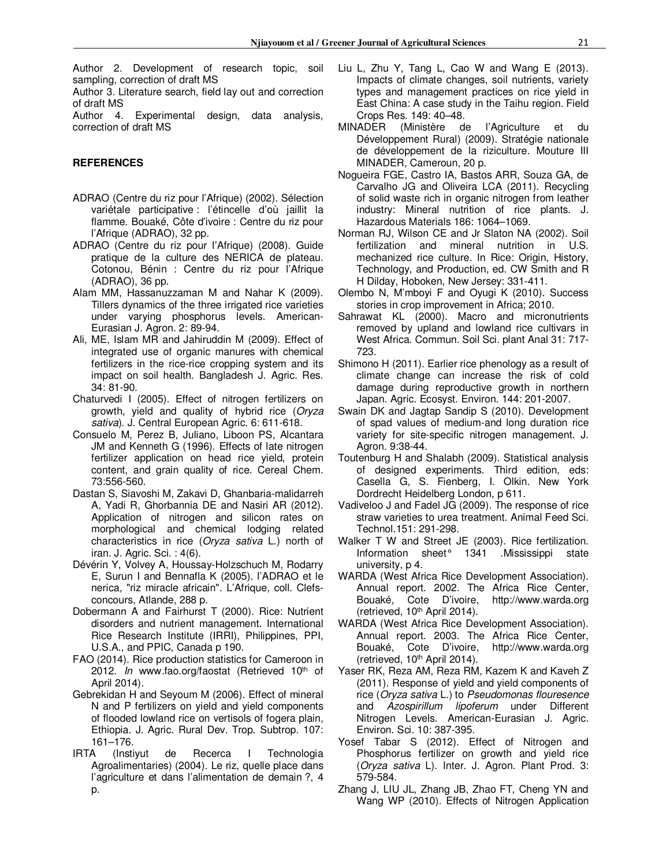Author 2. Development of research topic, soil sampling, correction of draft MS

Author 3. Literature search, field lay out and correction of draft MS

Author 4. Experimental design, data analysis, correction of draft MS

# **REFERENCES**

- ADRAO (Centre du riz pour l'Afrique) (2002). Sélection variétale participative : l'étincelle d'où jaillit la flamme. Bouaké, Côte d'ivoire : Centre du riz pour l'Afrique (ADRAO), 32 pp.
- ADRAO (Centre du riz pour l'Afrique) (2008). Guide pratique de la culture des NERICA de plateau. Cotonou, Bénin : Centre du riz pour l'Afrique (ADRAO), 36 pp.
- Alam MM, Hassanuzzaman M and Nahar K (2009). Tillers dynamics of the three irrigated rice varieties under varying phosphorus levels. American-Eurasian J. Agron. 2: 89-94.
- Ali, ME, Islam MR and Jahiruddin M (2009). Effect of integrated use of organic manures with chemical fertilizers in the rice-rice cropping system and its impact on soil health. Bangladesh J. Agric. Res. 34: 81-90.
- Chaturvedi I (2005). Effect of nitrogen fertilizers on growth, yield and quality of hybrid rice (*Oryza sativa*). J. Central European Agric*.* 6: 611-618.
- Consuelo M, Perez B, Juliano, Liboon PS, Alcantara JM and Kenneth G (1996). Effects of late nitrogen fertilizer application on head rice yield, protein content, and grain quality of rice. Cereal Chem. 73:556-560.
- Dastan S, Siavoshi M, Zakavi D, Ghanbaria-malidarreh A, Yadi R, Ghorbannia DE and Nasiri AR (2012). Application of nitrogen and silicon rates on morphological and chemical lodging related characteristics in rice (*Oryza sativa* L.) north of iran. J. Agric. Sci. : 4(6).
- Dévérin Y, Volvey A, Houssay-Holzschuch M, Rodarry E, Surun I and Bennafla K (2005). l'ADRAO et le nerica, "riz miracle africain". L'Afrique, coll. Clefsconcours, Atlande, 288 p.
- Dobermann A and Fairhurst T (2000). Rice: Nutrient disorders and nutrient management. International Rice Research Institute (IRRI), Philippines, PPI, U.S.A., and PPIC, Canada p 190.
- FAO (2014). Rice production statistics for Cameroon in 2012. *In* www.fao.org/faostat (Retrieved 10th of April 2014).
- Gebrekidan H and Seyoum M (2006). Effect of mineral N and P fertilizers on yield and yield components of flooded lowland rice on vertisols of fogera plain, Ethiopia. J. Agric. Rural Dev. Trop. Subtrop. 107: 161–176.
- IRTA (Instiyut de Recerca I Technologia Agroalimentaries) (2004). Le riz, quelle place dans l'agriculture et dans l'alimentation de demain ?, 4 p.
- Liu L, Zhu Y, Tang L, Cao W and Wang E (2013). Impacts of climate changes, soil nutrients, variety types and management practices on rice yield in East China: A case study in the Taihu region. Field Crops Res. 149: 40–48.
- MINADER (Ministère de l'Agriculture et du Développement Rural) (2009). Stratégie nationale de développement de la riziculture. Mouture III MINADER, Cameroun, 20 p.
- Nogueira FGE, Castro IA, Bastos ARR, Souza GA, de Carvalho JG and Oliveira LCA (2011). Recycling of solid waste rich in organic nitrogen from leather industry: Mineral nutrition of rice plants. J. Hazardous Materials 186: 1064–1069.
- Norman RJ, Wilson CE and Jr Slaton NA (2002). Soil fertilization and mineral nutrition in U.S. mechanized rice culture. In Rice: Origin, History, Technology, and Production, ed. CW Smith and R H Dilday, Hoboken, New Jersey: 331-411.
- Olembo N, M'mboyi F and Oyugi K (2010). Success stories in crop improvement in Africa; 2010.
- Sahrawat KL (2000). Macro and micronutrients removed by upland and lowland rice cultivars in West Africa. Commun. Soil Sci. plant Anal 31: 717- 723.
- Shimono H (2011). Earlier rice phenology as a result of climate change can increase the risk of cold damage during reproductive growth in northern Japan. Agric. Ecosyst. Environ. 144: 201-2007.
- Swain DK and Jagtap Sandip S (2010). Development of spad values of medium-and long duration rice variety for site-specific nitrogen management. J. Agron. 9:38-44.
- Toutenburg H and Shalabh (2009). Statistical analysis of designed experiments. Third edition, eds: Casella G, S. Fienberg, I. Olkin. New York Dordrecht Heidelberg London, p 611.
- Vadiveloo J and Fadel JG (2009)*.* The response of rice straw varieties to urea treatment. Animal Feed Sci. Technol.151: 291-298.
- Walker T W and Street JE (2003). Rice fertilization. Information sheet° 1341 .Mississippi state university, p 4.
- WARDA (West Africa Rice Development Association). Annual report. 2002. The Africa Rice Center, Bouaké, Cote D'ivoire, http://www.warda.org (retrieved, 10<sup>th</sup> April 2014).
- WARDA (West Africa Rice Development Association). Annual report. 2003. The Africa Rice Center, Bouaké, Cote D'ivoire, http://www.warda.org (retrieved, 10th April 2014).
- Yaser RK, Reza AM, Reza RM, Kazem K and Kaveh Z (2011). Response of yield and yield components of rice (*Oryza sativa* L.) to *Pseudomonas flouresence* and *Azospirillum lipoferum* under Different Nitrogen Levels. American-Eurasian J. Agric. Environ. Sci. 10: 387-395.
- Yosef Tabar S (2012). Effect of Nitrogen and Phosphorus fertilizer on growth and yield rice (*Oryza sativa* L). Inter. J. Agron. Plant Prod. 3: 579-584.
- Zhang J, LIU JL, Zhang JB, Zhao FT, Cheng YN and Wang WP (2010). Effects of Nitrogen Application